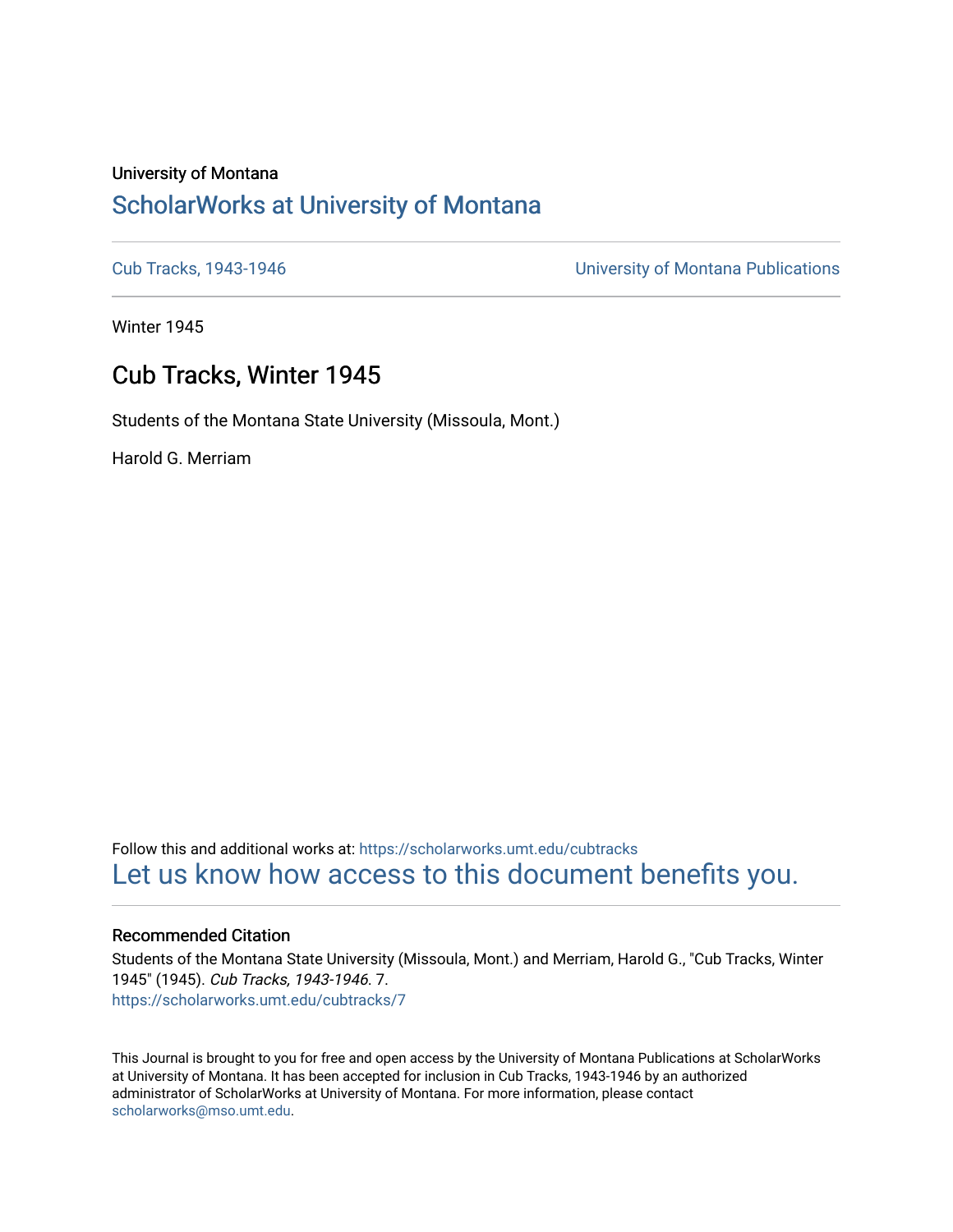# University of Montana [ScholarWorks at University of Montana](https://scholarworks.umt.edu/)

[Cub Tracks, 1943-1946](https://scholarworks.umt.edu/cubtracks) [University of Montana Publications](https://scholarworks.umt.edu/umpubs) 

Winter 1945

# Cub Tracks, Winter 1945

Students of the Montana State University (Missoula, Mont.)

Harold G. Merriam

Follow this and additional works at: [https://scholarworks.umt.edu/cubtracks](https://scholarworks.umt.edu/cubtracks?utm_source=scholarworks.umt.edu%2Fcubtracks%2F7&utm_medium=PDF&utm_campaign=PDFCoverPages) [Let us know how access to this document benefits you.](https://goo.gl/forms/s2rGfXOLzz71qgsB2) 

### Recommended Citation

Students of the Montana State University (Missoula, Mont.) and Merriam, Harold G., "Cub Tracks, Winter 1945" (1945). Cub Tracks, 1943-1946. 7. [https://scholarworks.umt.edu/cubtracks/7](https://scholarworks.umt.edu/cubtracks/7?utm_source=scholarworks.umt.edu%2Fcubtracks%2F7&utm_medium=PDF&utm_campaign=PDFCoverPages) 

This Journal is brought to you for free and open access by the University of Montana Publications at ScholarWorks at University of Montana. It has been accepted for inclusion in Cub Tracks, 1943-1946 by an authorized administrator of ScholarWorks at University of Montana. For more information, please contact [scholarworks@mso.umt.edu.](mailto:scholarworks@mso.umt.edu)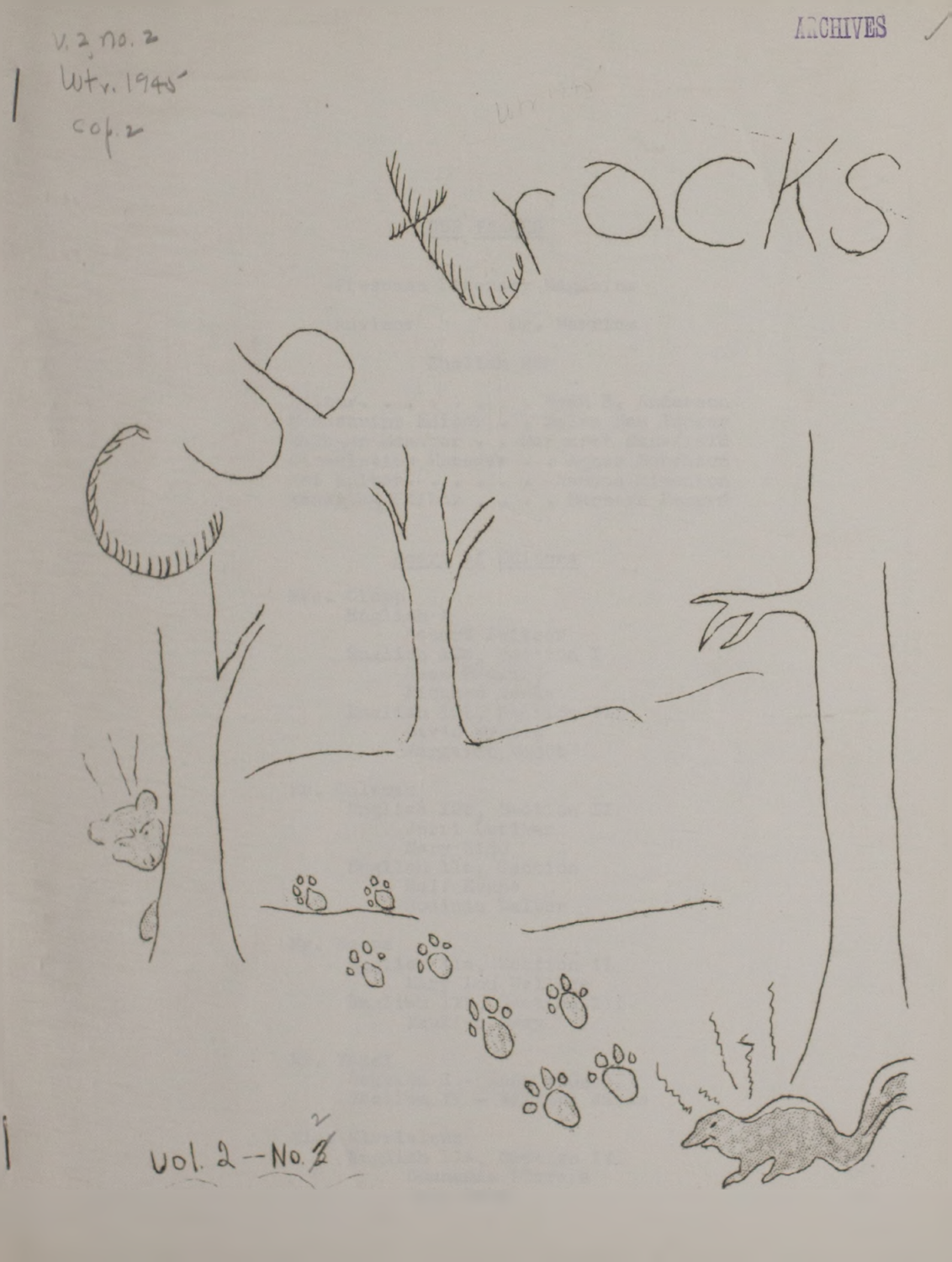ARCHIVES  $V. 2, 10.2$ <br>  $W + v. 1940$ 000  $50^{\circ}$   $50^{\circ}$ 000 000 080 Vol. 2-No. 2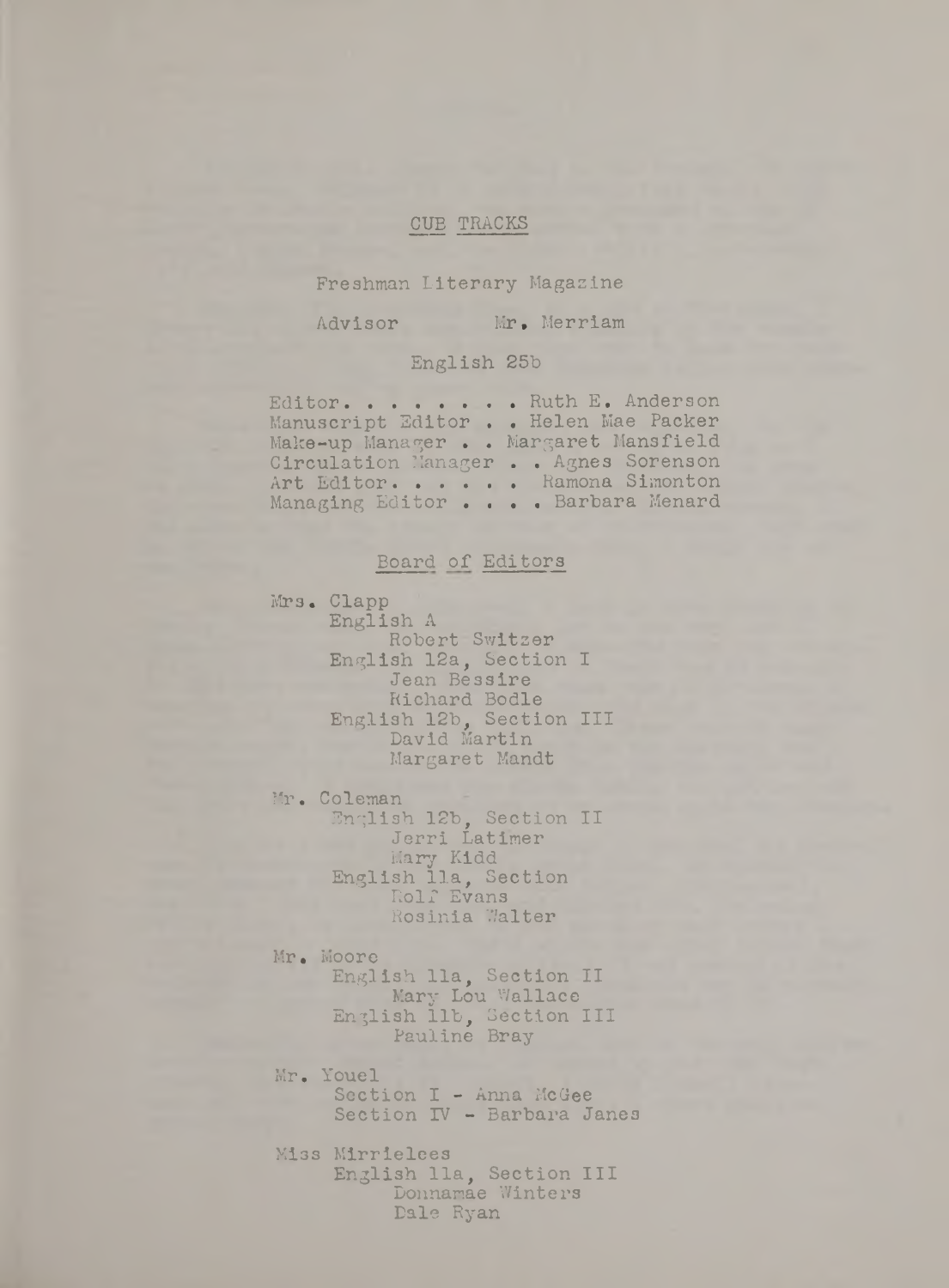## CUB TRACKS

Freshman Literary Magazine

Advisor Mr. Merriam

## English 25b

Editor. . . . . . . Ruth E. Anderson Manuscript Editor . • Helen Mae Packer Make-up Manager • . Margaret Mansfield Circulation Manager . . Agnes Sorenson Art Editor. . . . . Ramona Simonton Managing Editor . . . Barbara Menard

## Board of Editors

Mrs. Clapp English A Robert Switzer English 12a, Section I Jean Bessire Richard Bodle English 12b, Section III David Martin Margaret Mandt

Mr. Coleman

English 12b, Section II Jerri Latimer Mary Kidd English 11a, Section Rolf Evans Rosinia Walter

Mr. Moore English 11a, Section II Mary Lou Wallace English lib, Section III Pauline Bray

Mr. Youel Section I - Anna McGee Section IV - Barbara Janes

Miss Mirrielees English 11a, Section III Donnamae Winters Dale Ryan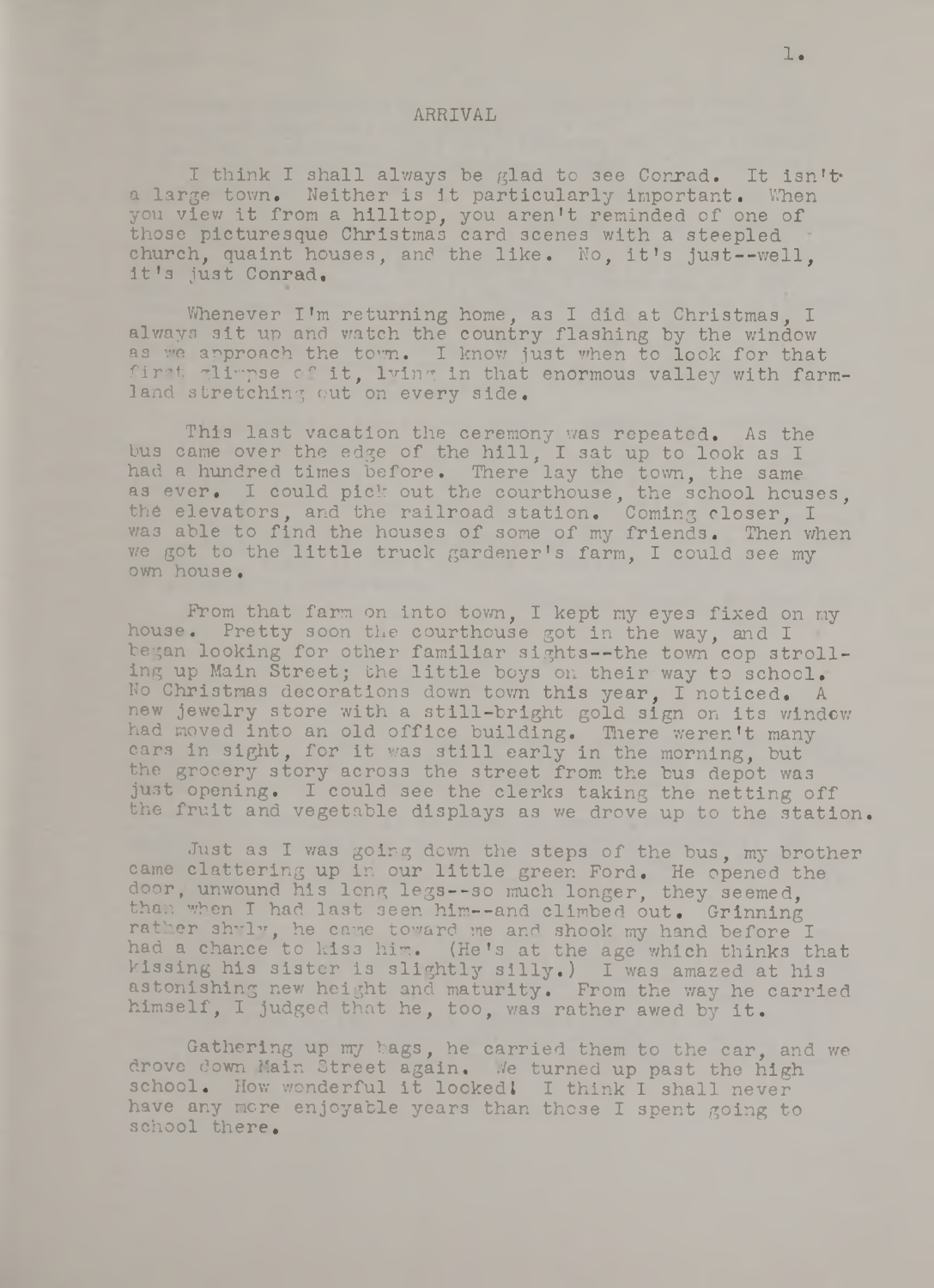#### ARRIVAL

I think I shall always be glad to see Conrad. It isn't a large town. Neither is it particularly important. When you view it from a hilltop, you aren't reminded of one of those picturesque Christmas card scenes with a steepled church, quaint houses, and the like. No, it's just--well. it's just Conrad,

Whenever I'm returning home, as I did at Christmas, I always sit up and watch the country flashing by the window as we approach the town. I know just when to look for that first glimpse of it, lying in that enormous valley with farmland stretching out on every side.

This last vacation the ceremony was repeated. As the bus came over the edge of the hill, I sat up to look as I had a hundred times before. There lay the town, the same as ever. I could pick out the courthouse, the school houses, the elevators, and the railroad station. Coming closer, I was able to find the houses of some of my friends. Then when we got to the little truck gardener's farm, I could **3** ee my own house.

Prom that farm on into town, I kept my eyes fixed on my house. Pretty soon the courthouse got in the way, and I began looking for other familiar sights--the town cop strolling up Main Street; the little boys on their way to school. No Christmas decorations down town this year, I noticed. A new jewelry store with a still-bright gold sign on its window had moved into an old office building. There weren't many cars in sight, for it was still early in the morning, but the grocery story across the street from the bus depot was just opening. I could see the clerks taking the netting off the fruit and vegetable displays as we drove up to the station.

Just as I was going down the steps of the bus, my brother came clattering up in our little green Ford, He opened the door, unwound his long legs— so much longer, they seemed, than when I had last seen him--and climbed out. Grinning rather shuly, he came toward me and shook my hand before I had a chance to kis3 him. (He's at the age which thinks that kissing his sister is slightly silly.) I was amazed at his astonishing new height and maturity. From the way he carried himself, I judged that he, too, was rather awed by it.

Gathering up my bags, he carried them to the car, and we drove down Main Street again. We turned up past the high school. How wonderful it looked! I think I shall never have any mere enjoyable years than those I spent going to school there.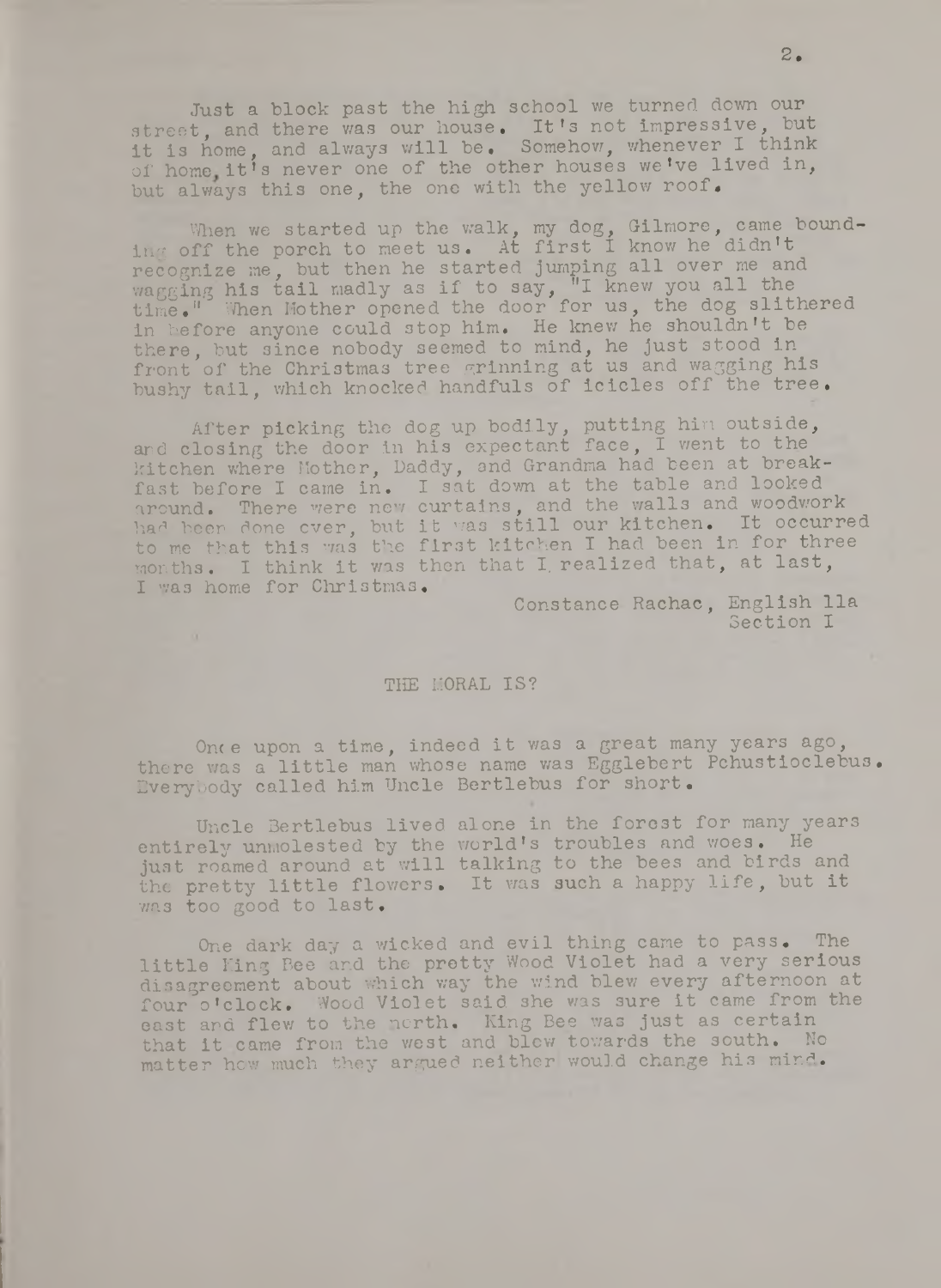Just a block past the high school we turned down our street, and there was our house. It's not impressive, but it is home, and always will be. Somehow, whenever I think of home it's never one of the other houses we've lived in, but always this one, the one with the yellow roof.

When we started up the walk, my dog, Gilmore, came bounding off the porch to meet us. At first I know he didn't recognize me, but then he started jumping all over me and wagging his tail madly as if to say, "I knew you all the time." When Mother opened the door for us, the dog slithered in before anyone could stop him. He knew he shouldn't be there, but since nobody seemed to mind, he just stood in front of the Christmas tree grinning at us and wagging his bushy tail, which knocked handfuls of icicles off the tree.

After picking the dog up bodily, putting him outside, and closing the door in his expectant face, I went to the kitchen where Mother, Daddy, and Grandma had been at breakfast before I came in. I sat down at the table and looked around. There were new curtains, and the walls and woodwork had been done over, but it was still our kitchen. It occurred to me that this was the first kitchen I had been in for three months. I think it was then that I, realized that, at last, I was home for Christmas.

Constance Rachac, English 11a Section I

#### THE MORAL IS?

Once upon a time, indeed it was a great many years ago, there was a little man whose name was Egglebert Pchustioclebus• Everybody called him Uncle Bertlebus for short.

Uncle Bertlebus lived alone in the forest for many years entirely unmolested by the world's troubles and woes. He just roamed around at will talking to the bees and birds and the pretty little flowers. It was such a happy life, but it was too good to last.

One dark day a wicked and evil thing came to pass. The little King Bee and the pretty Wood Violet had a very serious disagreement about which way the wind blew every afternoon at four o 'clock. Wood Violet said she was sure it came from the east and flew to the north. King Bee was just as certain that it came from the west and blew towards the south. No matter how much they argued neither would change his mind.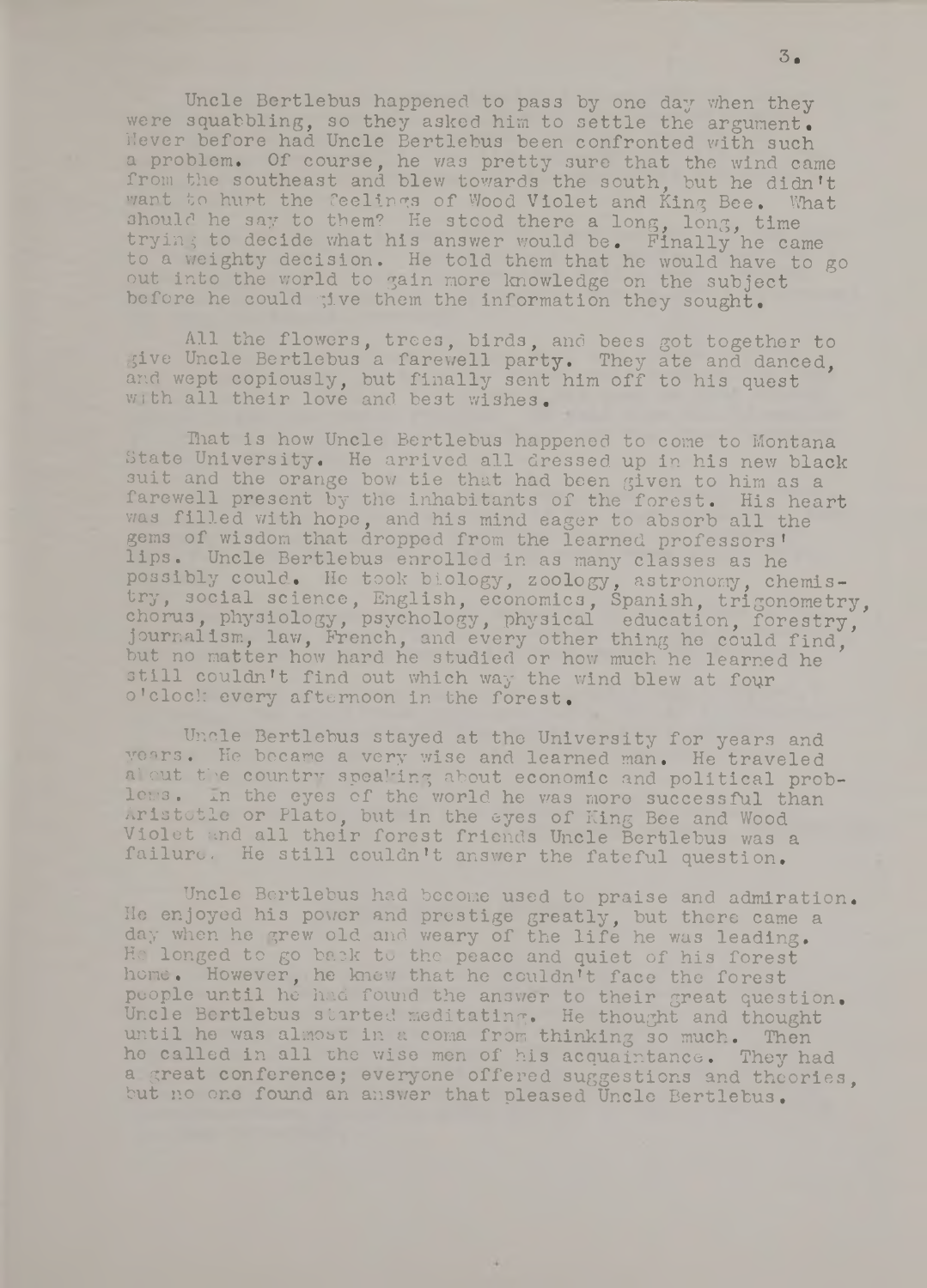Uncle Bertlebus happened to pass by one day when they were squabbling, so they asked him to settle the argument. Never before had Uncle Bertlebus been confronted with such a problem. Of course, he was pretty sure that the wind came from the southeast and blew towards the south, but he didn't want to hurt the feelings of Wood Violet and King Bee. What should he say to them? He stood there a long, long, time trying to decide what his answer would be. Finally he came to a weighty decision. He told them that he would have to go out into the world to gain more knowledge on the subject before he could give them the information they sought.

All the flowers, trees, birds, and bees got together to give Uncle Bertlebus a farewell party. They ate and danced. and wept copiously, but finally sent him off to his quest with all their love and best wishes.

That is how Uncle Bertlebus happened to come to Montana State University. He arrived all dressed up in his new black suit and the orange bow tie that had been given to him as a farewell present by the inhabitants of the forest. His heart was filled with hope, and his mind eager to absorb all the gems of wisdom that dropped from the learned professors! lips. Uncle Bertlebus enrolled in as many classes as he possibly could. He took biology, zoology, astronomy, chemistry, social science, English, economics, Spanish, trigonometry, chorus, physiology, psychology, physical education, forestry, journalism, law, French, and every other thing he could find, but no matter how hard he studied or how much he learned he still couldn't find out which way the wind blew at four o'clock every afternoon in the forest.

Uncle Bertlebus stayed at the University for years and yoars. He became a very wise and learned man. He traveled al cut the country speaking about economic and political problems. In the eyes of the world he was more successful than Aristotle or Plato, but in the eyes of King Bee and Wood Violet and all their forest friends Uncle Bertlebus was a failure. He still couldn't answer the fateful question.

Uncle Bertlebus had become used to praise and admiration. He enjoyed his power and prestige greatly, but there came a day when he grew old and weary of the life he was leading. He longed to go back to the peaco and quiet of his forest home. However, he knew that he couldn't face the forest people until he had found the answer to their great question. Uncle Bertlebus started meditating. He thought and thought until he was almost in a coma from thinking so much. Then he called in all the wise men of his acquaintance. They had a great conference; everyone offered suggestions and theories, but no one found an answer that pleased Uncle Bertlebus.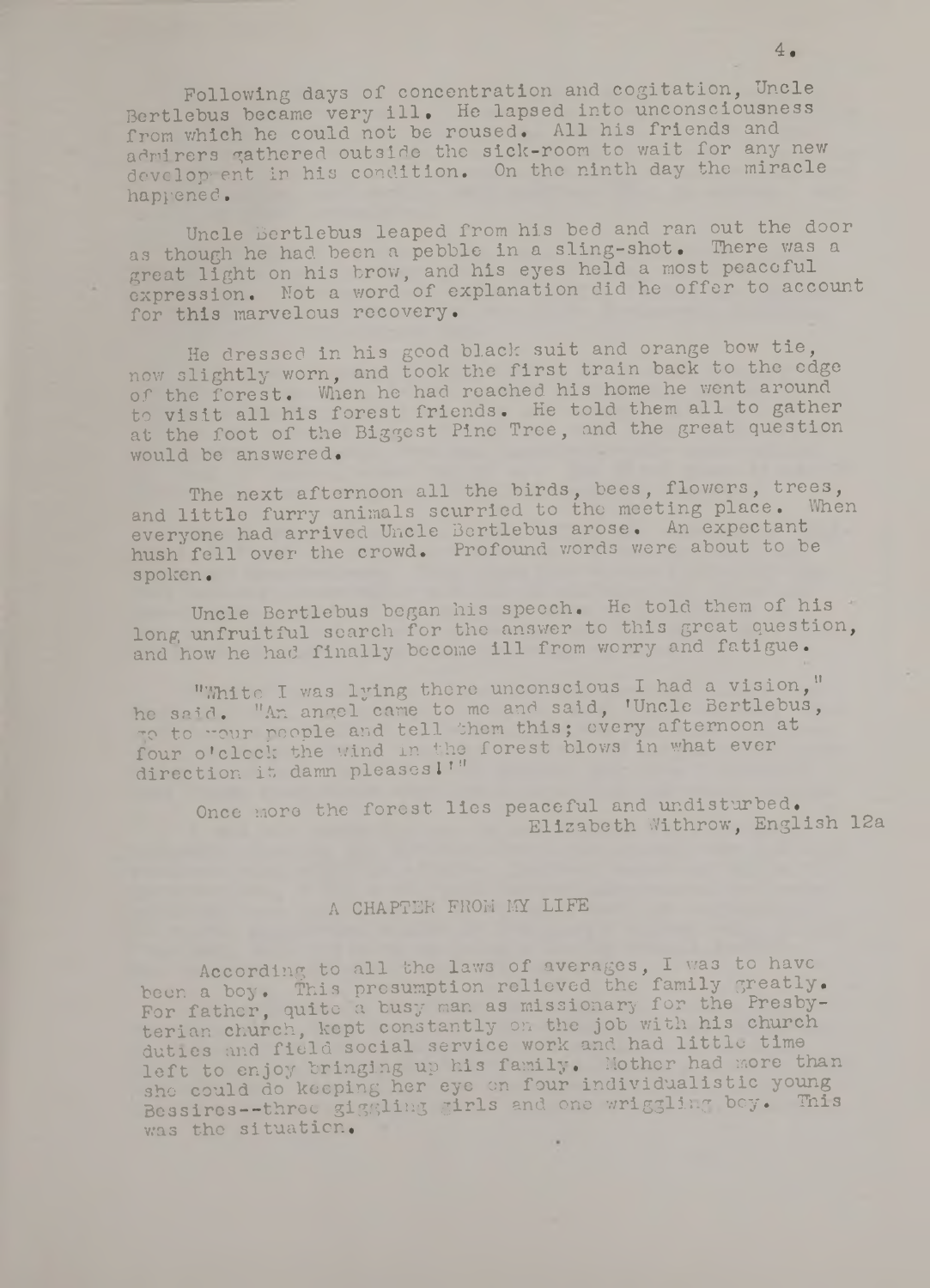Following days of concentration and cogitation, Uncle Bertlebus became very ill. He lapsed into unconsciousness from which he could not be roused. All his friends and admirers gathered outside the sick-room to wait for any new development in his condition. On the ninth day the miracle happened.

Uncle Bertlebus leaped from his bed and ran out the door as though he had been a pebble in a sling-shot. There was a great light on his brow, and his eyes held a most peacoful expression. Not a word of explanation did he offer to account for this marvelous recovery.

He dressed in his good black suit and orange bow tie, now slightly worn, and took the first train back to the edge of the forest. When he had reached his home he went around to visit all his forest friends. He told them all to gather at the foot of the Biggest Pine Tree, and the great question would be answered.

The next afternoon all the birds, bees, flowers, trees, and little furry **animals** scurried to the meeting place. When everyone had arrived Uncle Bertlebus arose. An expectant hush fell over the crowd. Profound words were about to be spoken.

Uncle Bertlebus began his speech. He told them of his long unfruitful search for the answer to this great question. and how he had finally become ill from worry and fatigue.

"White I was lying there unconscious I had a vision," he said. "An angel came to me and said, 'Uncle Bertlebus, re to your people and tell them this; every afternoon at four o'clock the wind in the forest blows in what ever direction it damn pleases! !"

Once more the forest lies peaceful and undisturbed. Elizabeth Withrow, English 12a

## A CHAPTER FROM MY LIFE

According to all the laws of averages, I was to have been a boy. This presumption relieved the family greatly. For father, quite a busy man as missionary for the Presbyterian church, kept constantly on the job with his church duties and field social service work and had little time left to enjoy bringing up his family. Mother had more than sho could do keeping her eye on four individualistic young Bessires— throo giggling girls and one wriggling boy. This was the situation.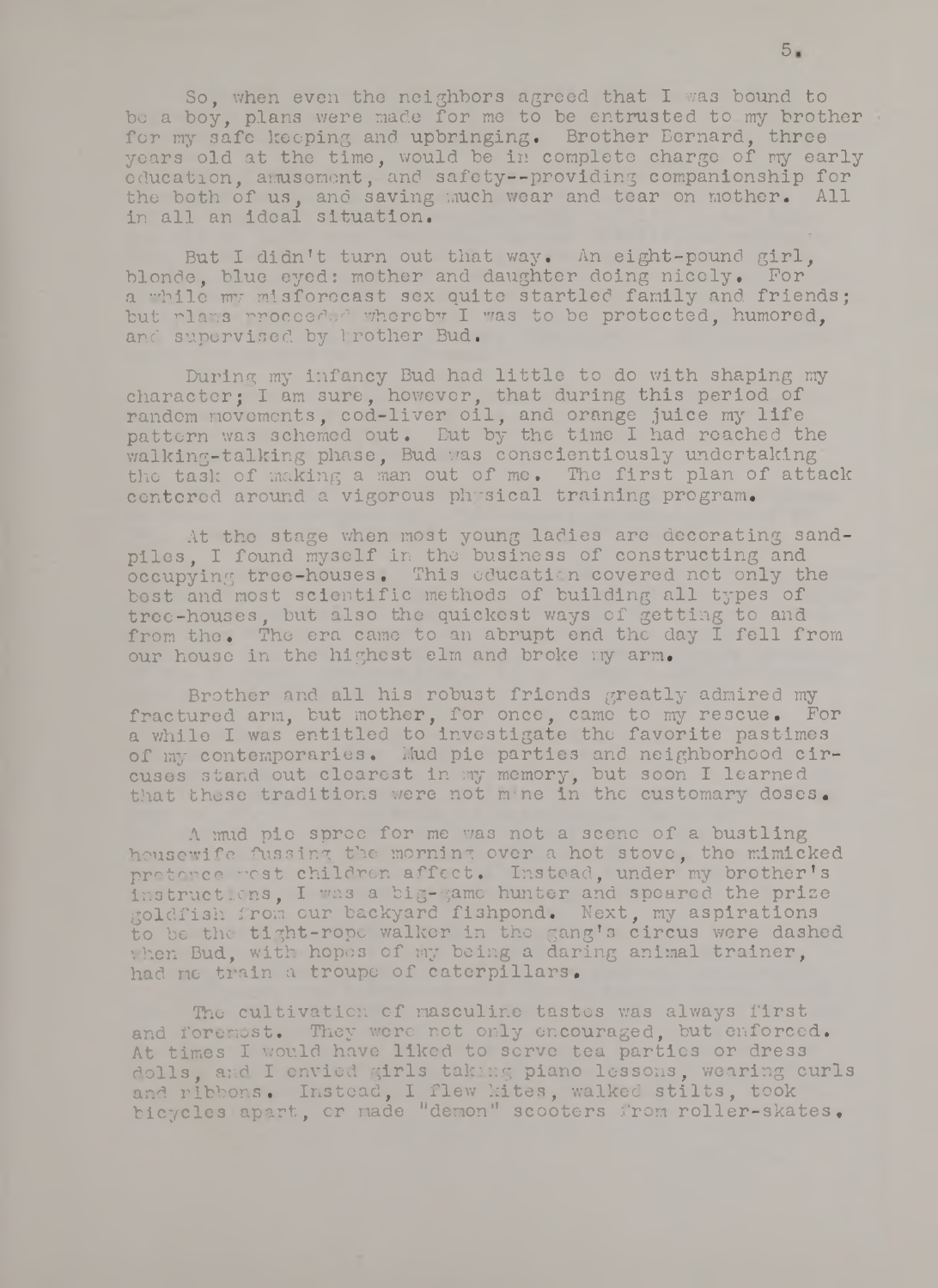So, when even the neighbors agreed that I was bound to be a boy, plans were made for me to be entrusted to my brother for my safe keeping and upbringing. Brother Bernard, three yoars old at the time, would be in complete charge of my early education, amusement, and safety--providing companionship for the both of us, and saving much wear and tear on mother. All in all an ideal situation.

But I didn't turn out that way. An eight-pound girl, blonde, blue eyed: mother and daughter doing nicely. For a while my misforocast sex quite startled family and friends; but rlans proceeded whereby I was to be protected, humored, and supervised by brother Bud.

During my infancy Bud had little to do with shaping my character; I am sure, however, that during this period of random movements, cod-liver oil, and orange juice my life pattern was schemed out. But by the time I had reached the walking-talking phase, Bud was conscientiously undertaking the task of making a man out of me. The first plan of attack centered around a vigorous physical training program.

At the stage when most young ladies are decorating sandpiles, I found myself in the business of constructing and occupying tree-houses. This education covered not only the best and most scientific methods of building all types of tree-houses, but also the quickest ways of getting to and from the. The era came to an abrupt end the day I fell from our house in the highest elm and broke my arm.

Brother and all his robust friends greatly admired my fractured arm, but mother, for once, came to my rescue. For a while I was entitled to investigate tho favorite pastimes of my contemporaries. Mud pie parties and neighborhood circuses stand out clearest in my memory, but soon I learned that these traditions were not mine in the customary doses.

A mud pie sproe for me was not a scene of a bustling housewife fussing the morning over a hot stove, tho mimicked pretence west children affect. Instead, under my brother's instruetlens, I was a big-game hunter and spoared the prize goldfish from our backyard fishpond. Next, my aspirations to be the tight-rope walker in the gang's circus were dashed when Bud, with hopes of my being a daring animal trainer, had me train a troupe of caterpillars.

The cultivation of masculine tastes was always first and foremost. They were not only encouraged, but enforced. At times I would have liked to serve tea parties or dress dolls, and I envied girls taking piano lessons, wearing curls and ribbons. Instead, I flew kites, walked stilts, took bicycles apart, or made "demon" scooters from roller-skates.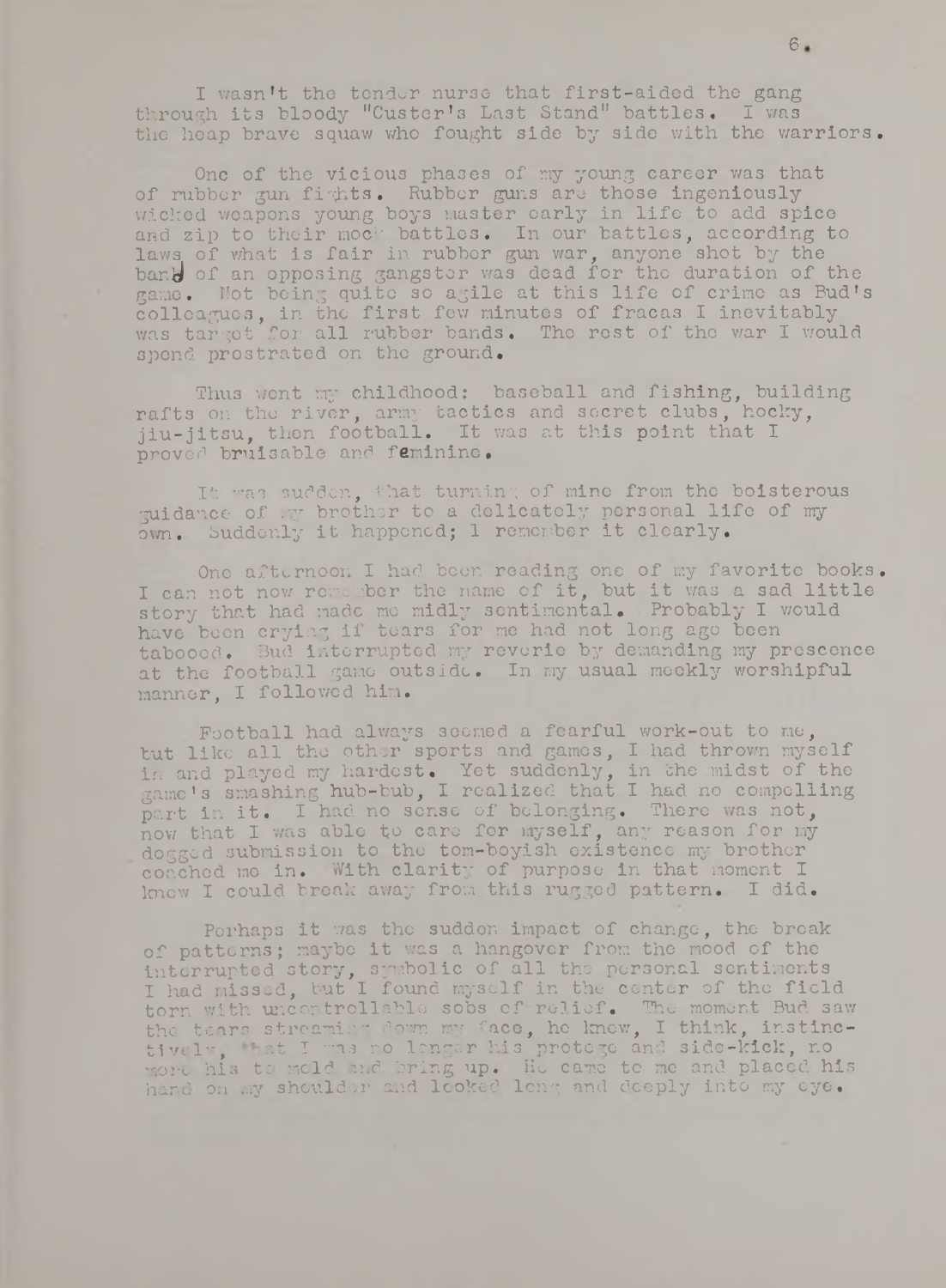I wasn't the tender nurse that first-aided the gang through its bloody "Custer's Last Stand" battles. I was the heap brave squaw who fought side by side with the warriors.

One of the vicious phases of my young career was that of rubber gun fights. Rubber guns are those ingeniously wicked weapons young boys master early in life to add spice and zip to their mock battles. In our battles, according to laws of what is fair in rubber gun war, anyone shot by the band of an opposing gangster was dead for the duration of the game. Not being quite so agile at this life of crime as Bud's colleagues, in the first few minutes of fracas I inevitably was target for all rubber bands. The rest of the war I would spond prostrated on the ground.

Thus went my childhood: baseball and fishing, building rafts on the river, army tactics and secret clubs, hocky, jiu-jitsu, then football. It was at this point that I proved bruisable and feminine.

It was sudden, that turning of mine from the boisterous guidance of my brother to a delicately personal life of my own. Suddenly it happened; I remember it clearly.

One afternoon I had been reading one of my favorite books. I can not now remember the name of it, but it was a sad little story that had made me midly sentimental. Probably I would have beon crying if tears for me had not long ago been tabooed. Bud interrupted my reverie by demanding my prcscence at the football game outside. In my usual meekly worshipful manner, I foliowod him.

Football had always seemed a fearful work-out to me, but like all the other sports and games, I had thrown myself in and played my hardest. Yet suddenly, in the midst of the game's smashing hub-bub, I realized that I had no compelling part in it. I had no sense of belonging. There was not, now that I was able to care for myself, any reason for my dogged submission to the tom-boyish existence my brothor coached mo in. With clarity of purpose in that moment I know I could break away from this rugged pattern. I did.

Perhaps it was the suddon impact of change, the break of patterns; maybe it was a hangover from the mood of the interrupted story, symbolic of all the personal sentiments I had missed, but I found myself in the center of the field torn with uncontrollablo sobs of relief. The momont Bud saw the tears streaming down my face, he knew, I think, instinctively, that I was no lenger his protege and side-kick, no more his to mold and bring up. Ho came to me and placed his hand on my shoulder and looked long and deeply into my eye.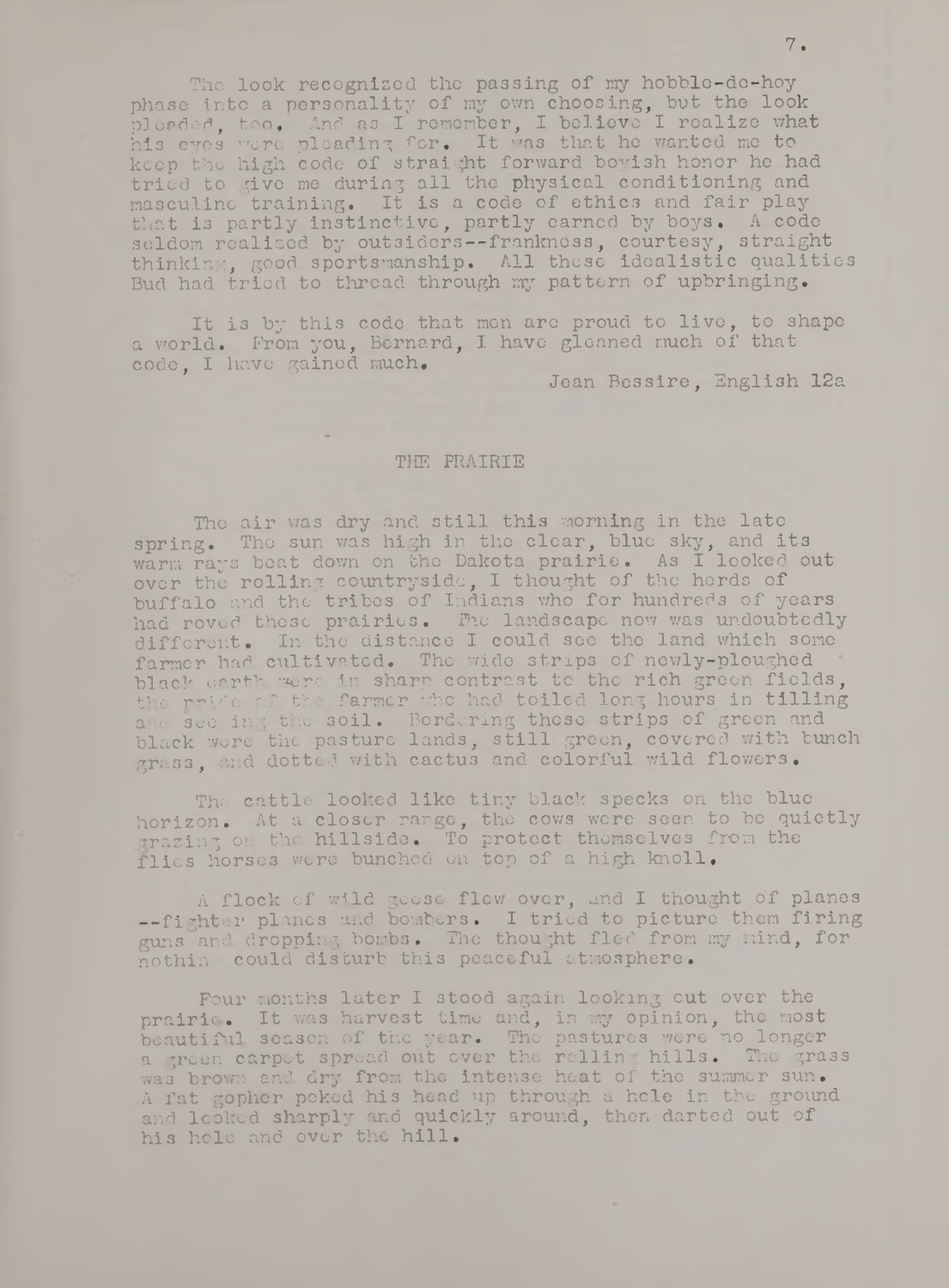The look recognized the passing of my hobble-de-hoy phase into a personality of my own choosing, but the look pleaderl, too. And as I remember, I believe I realize what his eyes v'oro pleading for. It was that he wanted me to keep the high code of straight forward boyish honor he had tried to give me during all the physical conditioning and masculine training. It is a code of ethics and fair play that is partly instinctive, partly earned by boys, A code seldom realized by outsiders--frankness, courtesy, straight thinking, good sportsmanship. All those idealistic qualities Bud had tried to thread through my pattern of upbringing.

It is by this code that men are proud to live, to shape a vrorld. Prom you, Bernard, I have gleaned much of that code, I have gained much,

Jean Bessire, English 12a

#### THE PRAIRIE

The air was dry and still this morning in the late spring. Tho sun was high in the clear, blue sky, and its warm rays boat down on the Dakota prairie. As I looked out over the rolling countryside, I thought of the herds of  $\,$ buffalo and the tribes of Indians who for hundreds of years had roved those prairies. The landscape now was undoubtedly different. In the distance I could see tho land which some farmer had cultivated. The wide strips of newly-ploughed black earth were in sharp contrast to the rich green fields, the rride of the farmer who had toiled long hours in tilling and see in; the soil. Bordering these strips of green and black wore the pasture lands, still green, covered with bunch grass, and dotted with cactus and colorful wild flowers,

The cattle looked like tiny black specks on the blue horizon. At a closer range, the cows were seen to be quietly -razing on the hillside. To protect thomselves from the flics horses were bunched on top of a high knoll.

A flock of wild geese flew over, and I thought of planes A flock of wild geese flew over, and I chought of planes guns and dropping bombs. The thought fled from my mind, for nothin ; could disturb this peaceful atmosphere.

Pour months later I stood again looking out over the prairie. It was harvest time and, in my opinion, the most beautiful season of the year. The pastures were no longer a green carpet spread out over the rolling hills. The grass was brown and dry from the intense heat of the summer sun. A fat gopher poked his head up through a hole in tho ground and looked sharply and quickly around, then darted out of his hole and over the hill.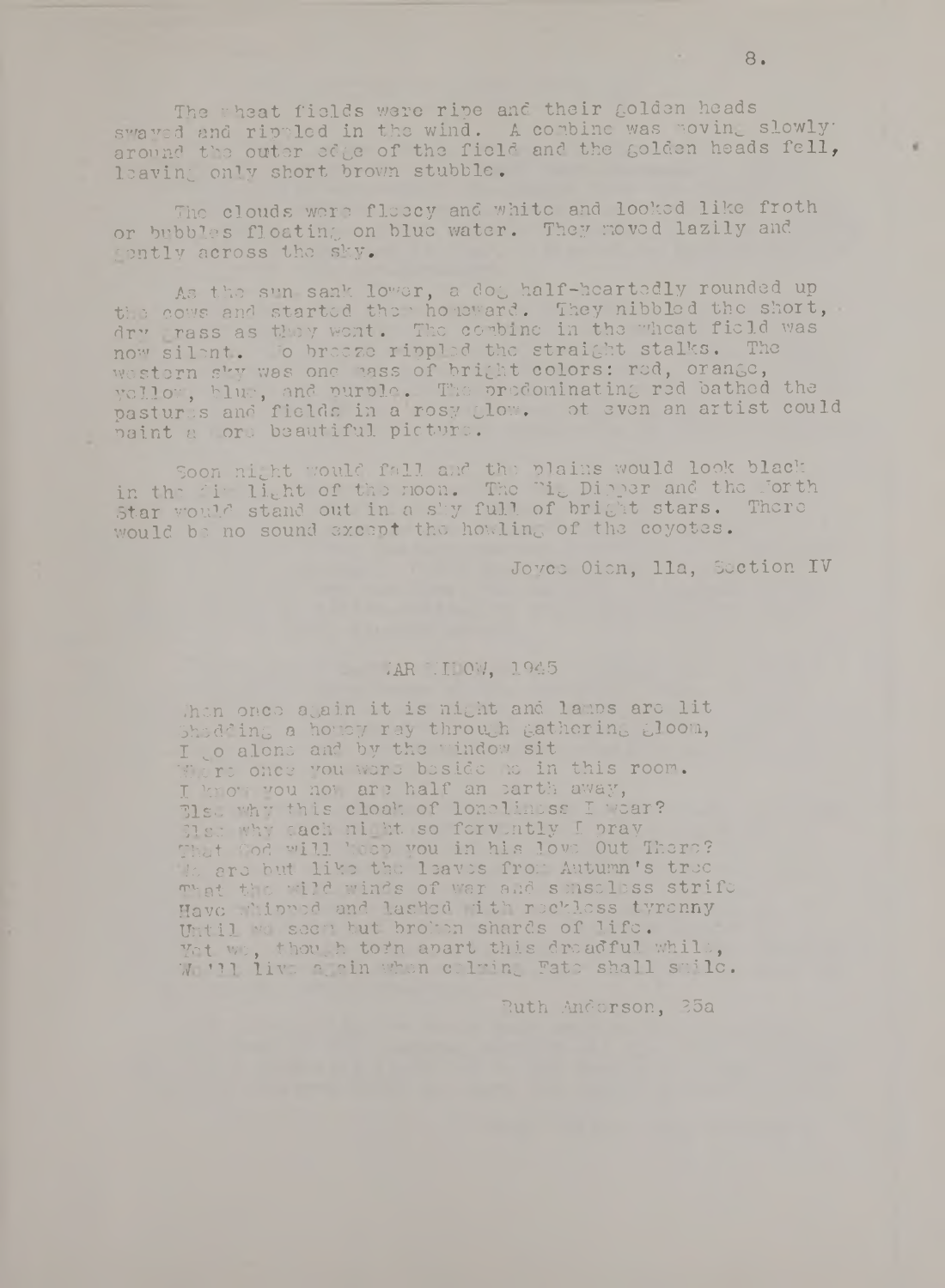The wheat fields were ripe and their golden heads swayed and rippled in the wind. A combine was woving slowly around the outer edge of the field and the golden heads fell, leaving only short brown stubble.

The clouds were fleecy and white and looked like froth or bubbles floating on blue water. They moved lazily and ontly across the sky.

As the sun sank lower, a doc, half-heartedly rounded up the cows and started the  $\cdot$  ho  $\tt{supp}$ . They nibbled the short, dry rass as they went. The combine in the wheat field was  $\,$ now silent. To breeze rippled the straight stalks. The western sky was one rass of bright colors: red, orange, yellow, blue, and purple. The prodominating red bathed the pastures and fields in a rosy glow. ot even an artist could paint a ore beautiful picture.

Soon night would fall and the plains would look black in the dir. light of the noon. The  $\mathrm{Li}_\odot$  Dipper and the Forth  $^+$ Star would stand out in a sky full of bright stars. There would be no sound except the howling of the coyotes.

Joyce Oicn, 11a, Section IV

# VAR VII 0V, 1945

, hen once again it is night and lamps are lit Shedding a homey ray through Gathering iloora, I o alone and by the vindow sit Where once you were beside to in this room. I know you how are half an earth away, They why this cloak of loneliness I wear? Her why each night so fervently I pray That Cod will heep you in his love Out There? It are but like the leaves from Autumn's tree That the "did winds of war and senseless strife Have minued and lashed ith reckless tyrenny Until we seen but broken shards of life. Yet we, though tofn apart this dreadful while, W WI live a cin when celring Fate shall smile.

**Ruth Anderson, 35a**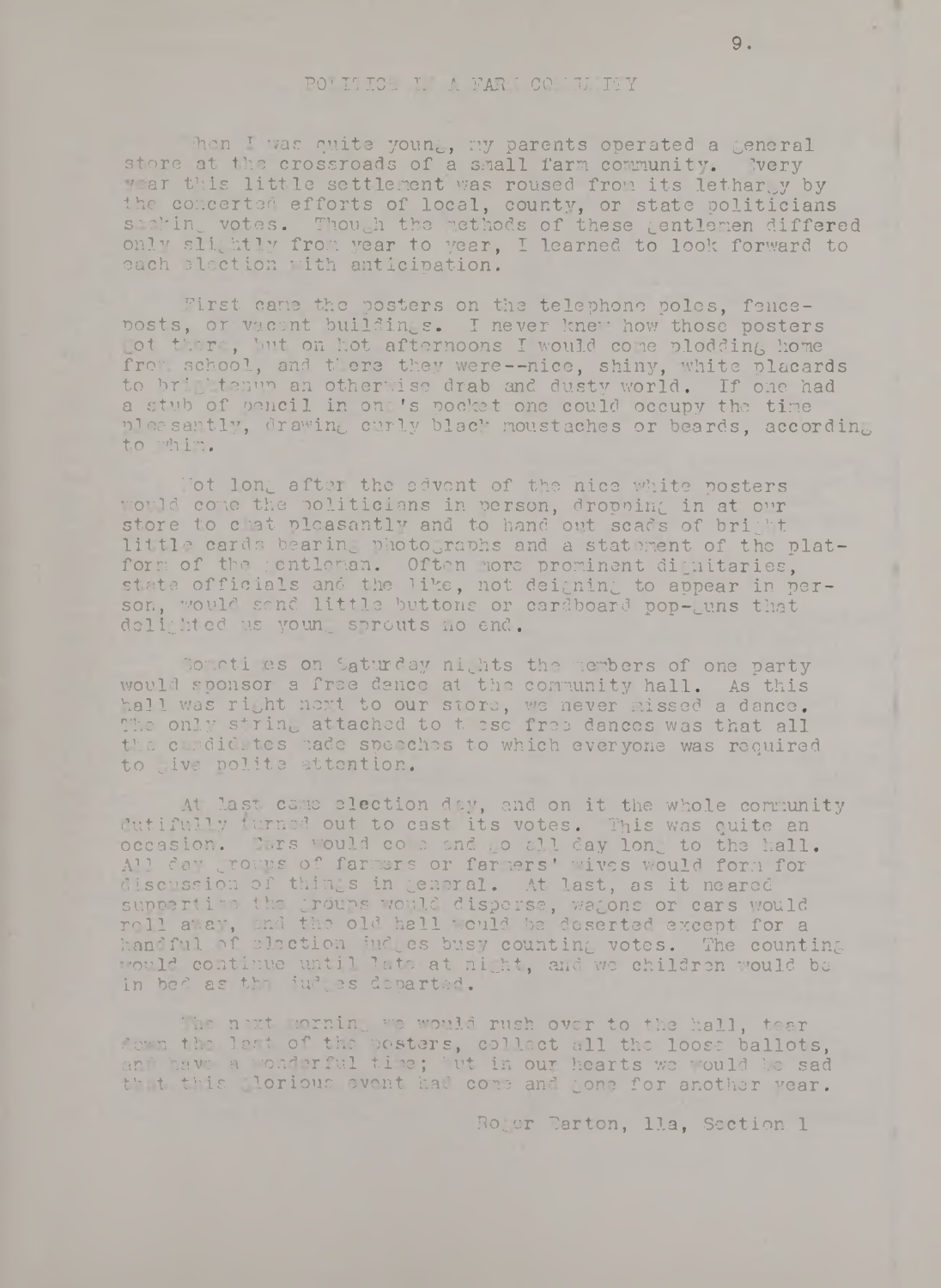## **pot** i: ics l\* a far : co:: *u.* tty

*hen* **I was quite young, my parents operated a general store at the crossroads of a small farm community. Ivery** *'ar this little settlement was roused from its letharly by* **the concerted efforts of local, county, or state politicians** siehin votes. Though the methods of these gentlemen differed **only slightly from, year to year, I learned to look forward to each election with anticipation.**

First cane the posters on the telephone poles, fence**posts, or vacant buildings. I never knew how those posters rot there, but on hot afternoons I would come-plodding home** frow school, and there they were--nice, shiny, white placards **to briGhtenup an otherwise drab and dusty world. If one had** a stub of pencil in on 's pocket one could occupy the time **pleasantly, drawing curly black noustaches or beards, according to whin.**

**"hot long after the advent of the nice white posters would cone the politicians in person, droppine in at our store to chat pleasantly and to hand out scads of bright** little cards bearing photographs and a statement of the plat**form of the yentlonan. Often more prominent dignitaries,** state officials and the like, not deigning to appear in per**son, would send, little buttons or cardboard pop-Guns that** delighted us young sprouts no end.

Somoti es on Saturday nights the members of one party **would sponsor a free dance at the community hall. As this** hall was ri<sub>tht next to our store, we never missed a dance.</sub> The only string attached to t esc free dances was that all **the candidates made speeches to which everyone was required to Give polite attention.**

**At last came election day, and on it the whole community dutifully turned out to cast its votes. This was quite an occasion.** This would come and o all day long to the hall. **All day groups of farmers or farmers' wives would form for discussion of thirds in General. At last, as it neared suppertime the Groups would disperse, waGons or cars would roil away, and the old hall would be deserted except for a handful of election indues busy countinG votes. The counting ■ 'ouId continue until late at night., and we children 'mould bo** in bed as the iudgos departed.

The noxt morning we would rush over to the hall, tear **down the lost of the posters, collect all the loose ballots, and hove a wonderful time; tut in our hearts we ''ould be sad** that this glorious event had come and gone for another year.

**Ro^cr Farton, 11a, Section 1**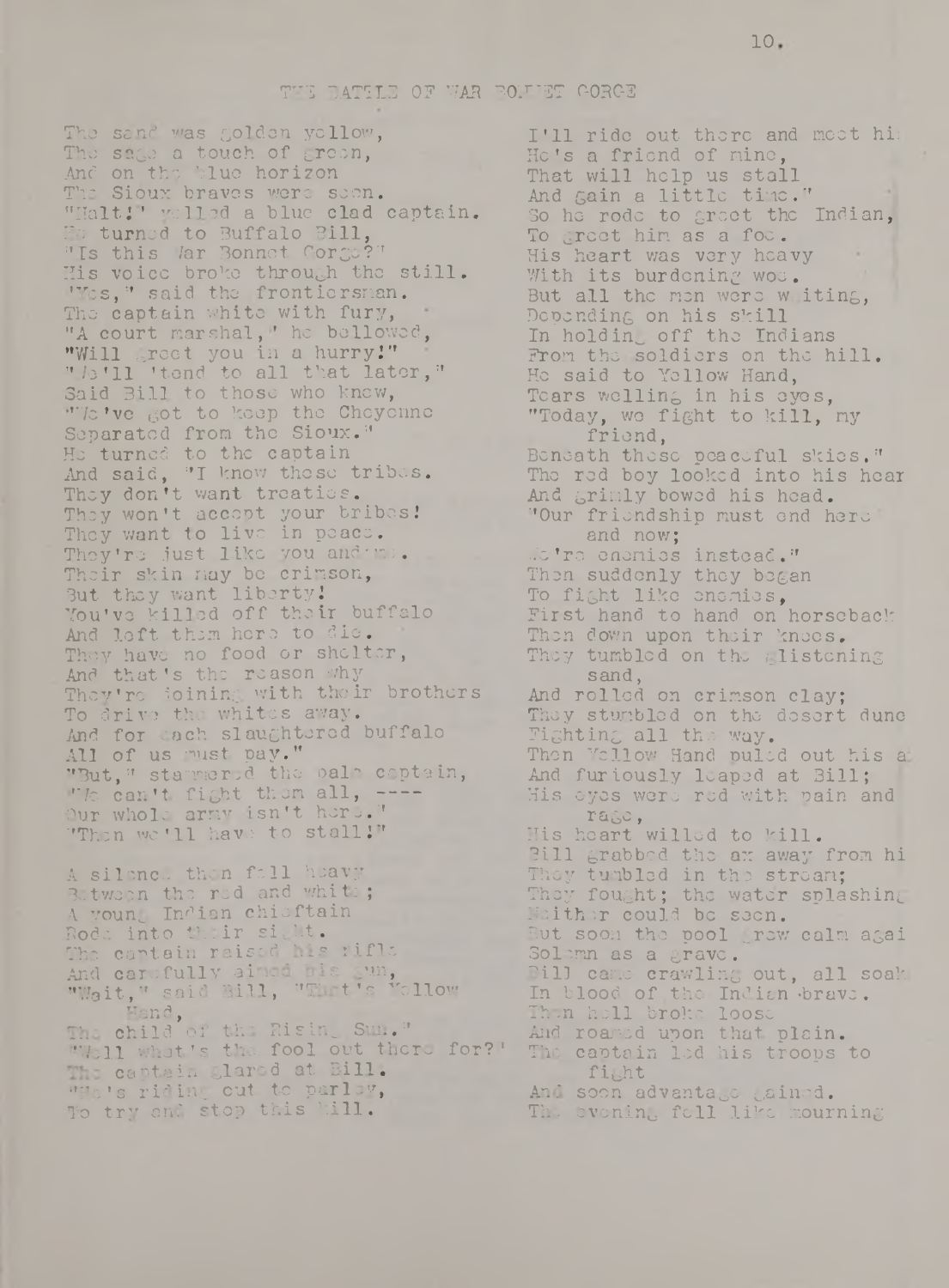#### THE BATTLE OF WAR BOLLET GORGE

The sand was golden yellow, The sago a touch of croon, And on the blue horizon The Sioux braves wore scon. "Halt!' yelled a blue clad captain. He turned to Buffalo Bill, "Is this War Bonnet Gorge?" His voice broke through the still. 'Yes," said the frontiersman. The captain white with fury, "A court marshal," he bellowed, "Will greet you in a hurry!" "/e'll 'tend to all that later," Said Bill to those who knew, "Vic've got to keep the Cheyenne Separated from the Sioux." He turned to the captain And said, "I know these tribes. They don't want treaties. They won't accept your bribes! They want to live in peace. They're just like you and \* me. Their skin may be crimson, But they want liberty! You've killed off their buffalo And loft them hero to die. They have no food or shelter, And that's the reason v/hy They're ioining with their brothers To drivo the whites away. And for each slaughtered buffalo All of us must pay." "But," stammered the pale coptain, "It can't fight them all, ----Our whole army isn't here." "Then we'll have to stall!"

A silence then foll heavy Between the red and white; A young Indian chieftain Rode into their sight. The captain raised his rifle And carefully aimed his gun, "Wait," said Bill, "Thet's Yellow **Hand**, The child of the Rising Sun." "'Veil what's the fool out there for?" The captain glared at Bill. "He's riding out to parley, To try and stop this kill.

I'll ride out there and meet hi; He's a friend of mine, That will help us stall And gain a little time." So he rode to greet the Indian, To greet him as a foe. His heart was very heavy With its burdening woe. But all the men were w iting, Depending on his skill In holding off the Indians From the soldiers on the hill. He said to Yellow Hand, Tears welling in his eyes, "Today, wo fight to kill, my friend, Beneath these peaceful skies." The red boy looked into his hear And grimly bowed his head. "Our friendship must end here and now; ./c 're enemies instead." Then suddenly they began To fight like enemies, First hand to hand on horseback Then down upon their knees. They tumbled on the glistening sand, And rolled on crimson clay; They stumbled on the desert dune Fighting all the way. Then Yellow Hand puled out his a And furiously leaped at Bill; His eyes were red with pain and rage, His heart willed to kill. Bill grabbed the ax away from hi They tumbled in the stream; They fought; the water splashing Neither could be seen. But soon the pool grew calm agai Solemn as a grave. Bill came crawling out, all soak In blood of the Indian brave. Then hell broke loose And roaned upon that plain. The captain led his troops to fight And soon advantago gained. The evening fell like mourning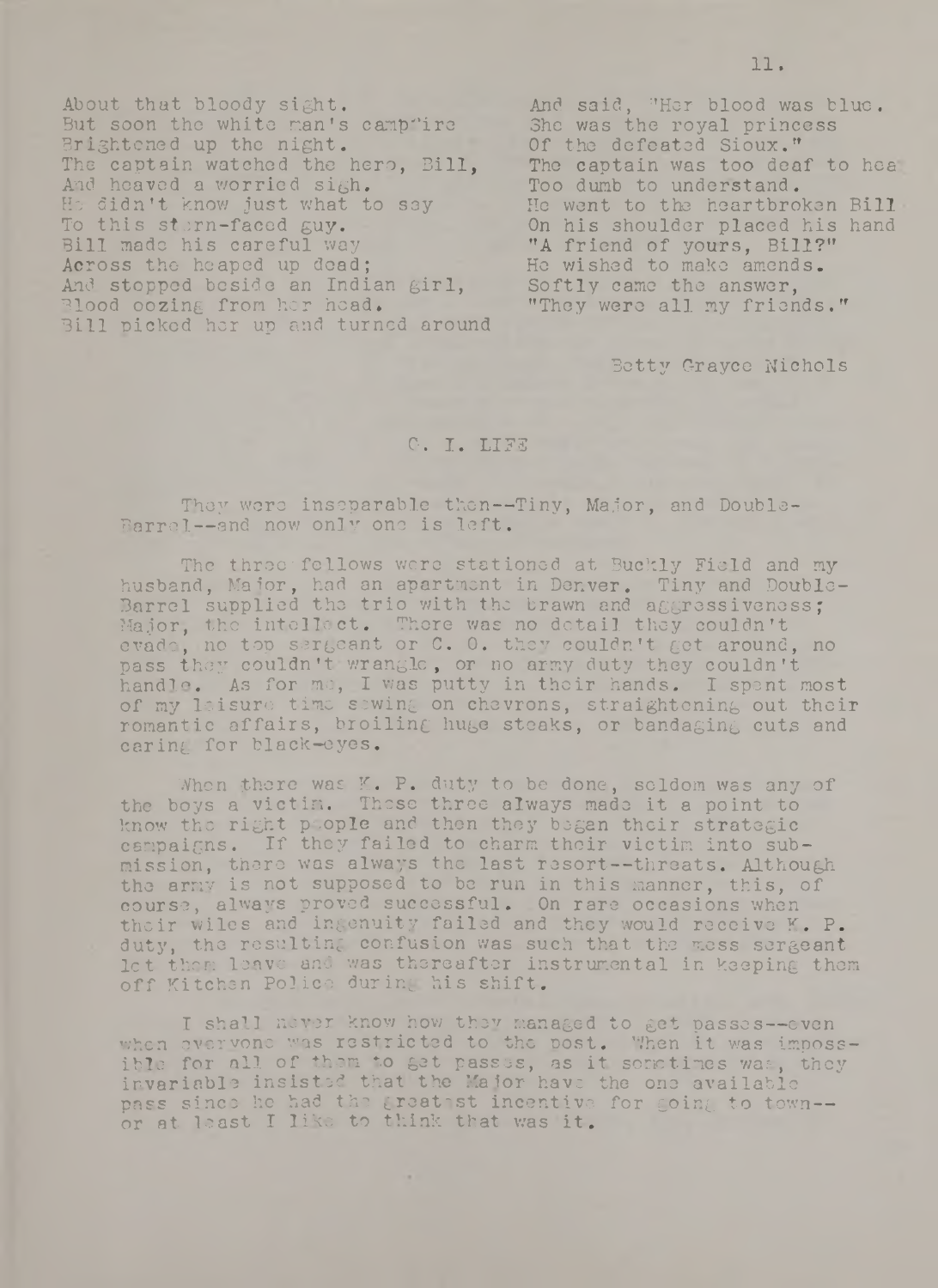About that bloody sight. But soon the white man's campfire Brightened up the night. The captain watched the hero, Bill, And heaved a worried sigh. He didn't know just what to say To this stern-faced guy. Bill made his careful way Across the heaped up dead: And stopped beside an Indian girl, Blood oozing from her head. Bill picked hor up and turned around

And said, "Her blood was blue. She was the royal princess Of the defeated Sioux." The captain was too deaf to hea Too dumb to understand. He went to the heartbroken Bill On his shoulder placed his hand "A friend of yours, Bill?" He wished to make amends. Softly came the answer, "They were all my friends."

Betty Grayce Nichols

### G. I. LIF3

They were inseparable then--Tiny, Major, and Double-Barrel--and now only one is left.

The three fellows were stationed at Buckly Field and my husband, Major, had an apartment in Denver. Tiny and Double-Barrel supplied the trio with the brawn and aggressiveness; Major, the intellect. There was no detail they couldn't evade, no top sergeant or C. 0. they couldn't get around, no pass they couldn't wrangle, or no army duty they couldn't handle. As for me, I was putty in their hands. I spent most of my leisure time sewing on chevrons, straightening out their romantic affairs, broiling huge steaks, or bandaging cuts and caring for black-eyes.

When there was K. P. duty to be done, seldom was any of the boys a victim. These three always made it a point to know the right plople and then they began their strategic campaigns. If they failed to charm their victim into submission, there was always the last resort— threats. Although the army is not supposed to be run in this manner, this, of course, always proved successful. On rare occasions when their wiles and ingenuity failed and they would receive K. P. duty, tho resulting confusion was such that the mess sergeant let them leave and was thereafter instrumental in keeping them off Kitchen Police during his shift.

I shall never know how they managed to get passes— even when overvone was restricted to the post. When it was impossible for all of them to get passes, as it sometimes was, they invariable insisted that the Major have the one available pass since he had the greatest incentive for going to town-or at least I like to think that was it.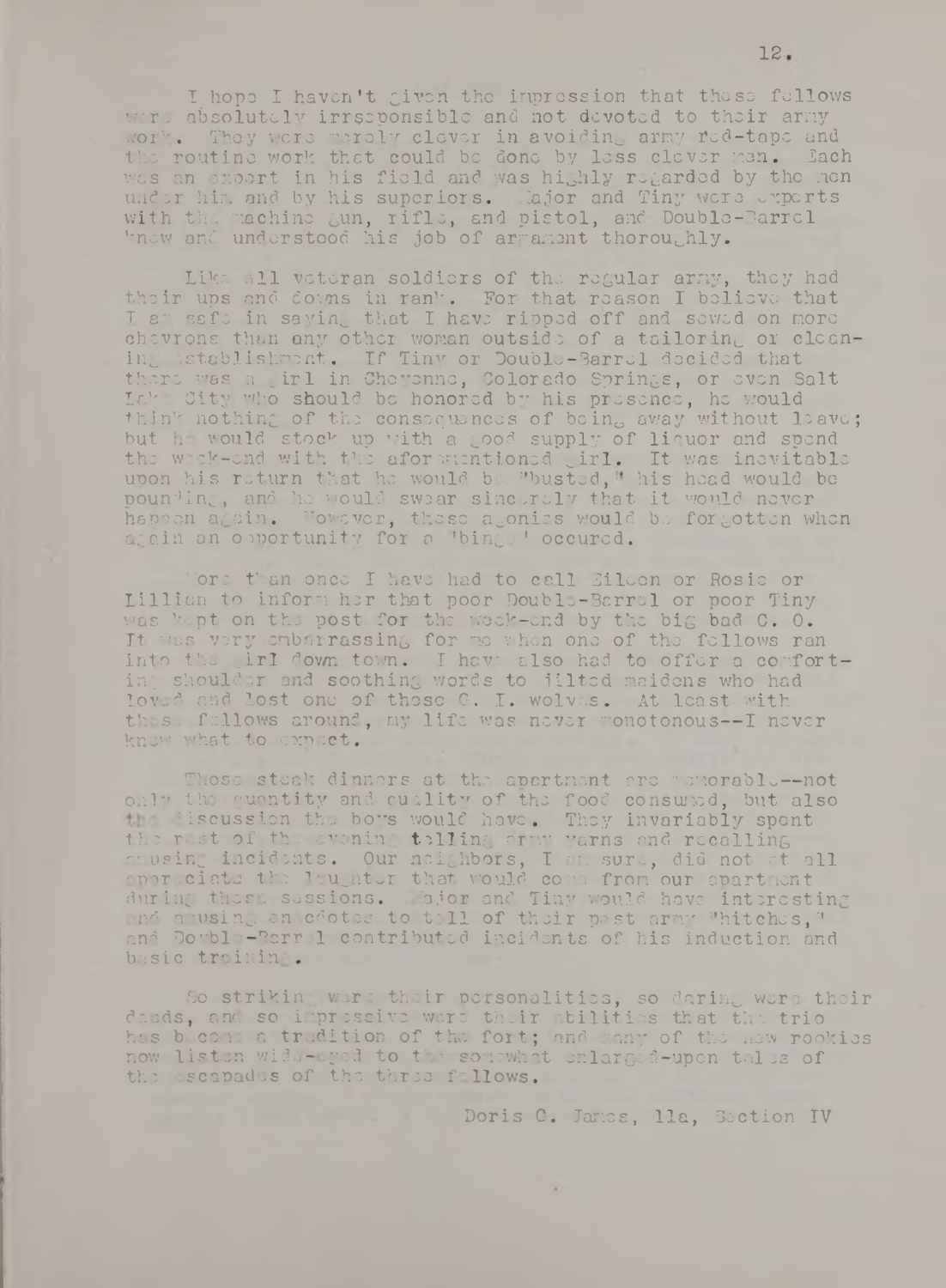I hope I haven't given the inpression that these fellows were absolutely irrseponsible and not devoted to their army work. They were merely clever in avoiding army red-tape and the routine work that could be done by less clever nen. Lach was an export in his field and was highly regarded by the men under him and by his superiors. Iajor and Tiny were experts with the machine gun, rifle, and pistol, and Double-Barrel knew and understood his job of armament thoroughly.

Like all veteran soldiers of the regular army, they had their ups and downs in rank. For that reason I believe that I am safe in saying that I have ripped off and sewed on more chevrons than any other woman outside of a tailoring or cleaning establishment. If Tiny or Double-Barrel decided that there v»as a uirl in Cheyenne, Colorado Springs, or even Salt Lak: City who should be honored by his presence, he would think nothing of the consequences of being away without leave; but he would stock up with a good supply of liquor and spend the week-end with the aformentioned girl. It was inevitable upon his return that he would be "busted," his head would be pounding, and he would swear sincerely that it would never happen again. However, these agonies would be forgotten when again an opportunity for a 'bing. ' occured.

ore t'an once I have had to call Eileen or Rosie or Lillian to inform her that poor Double-Barrel or poor Tiny was kept on the post for the week-end by the big bad C. O. It was very embarrassing for me when one of the fellows ran into the girl down town. I have also had to offer a comforting shoulder and soothing words to jilted maidens who had loved and lost one of these G. I. wolves. At least with these fellows around, my life was never monotonous--I never knew what to expect.

Those steak dinners at the apartment arc memorable--not only the quantity and cuility of the food consuled, but also the discussion the boys would have. They invariably spent the rest of the evening telling army yarns and recalling amusing incidents. Our neighbors, I am sure, did not at all cpnr-ciato the laughter that would come from our apartment during these sessions. Major and Tiny would have interesting and amusing annecotes to toll of their past army "hitches," and Double-Barrel contributed incidents of his induction and basic trainin'.

So striking were their personalities, so daring were their deeds, and so impressive were their abilities that the trio has b com: a tradition of the fort; and many of the new rookies now listen wide-eyed to the somewhat onlarged-upon tales of the escapades of the three fallows.

 $\sim$ 

Doris G. Janes, 11a, Section IV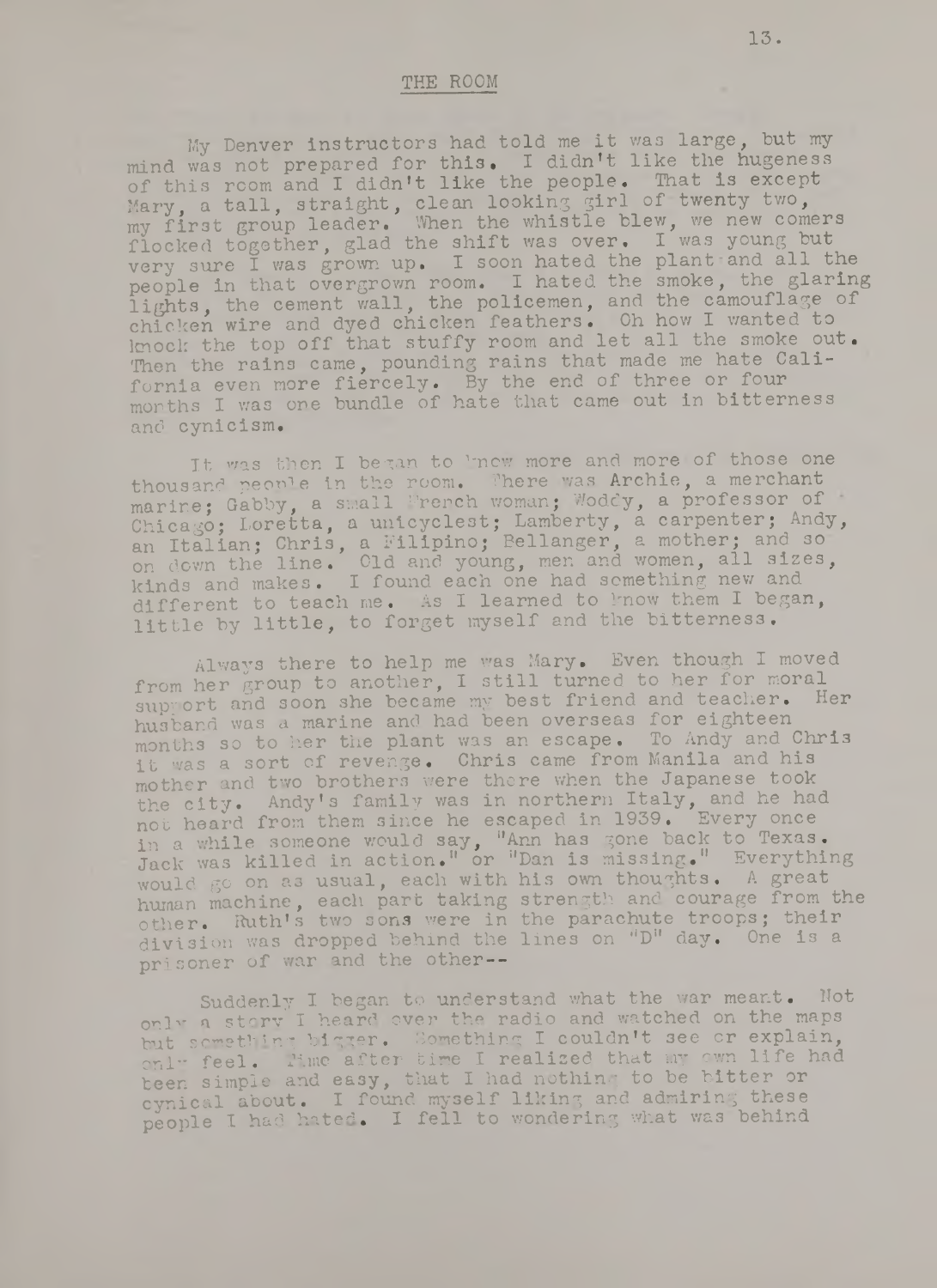#### THE ROOM

My Denver instructors had told me it was large, but my mind was not prepared for this. I didn't like the hugeness of this room and I didn't like the people. That is except Mary, a tall, straight, clean looking girl of twenty two, my first group leader. When the whistle blew, we new comers flocked together, glad the shift was over. I was young but very sure I was grown up. I soon hated the plant and all the people in that overgrown room. I hated the smoke, the glaring lights, the cement wall, the policemen, and the camouflage of chicken wire and dyed chicken feathers. Oh how I wanted to knock the top off that stuffy room and let all the smoke out. Then the rains came, pounding rains that made me hate California even more fiercely. By the end of three or four months I was one bundle of hate that came out in bitterness and cynicism.

It was then I began to 'now more and more of those one thousand people in the room. There was Archie, a merchant marine; Gabby, a small French woman; Woddy, a professor of Chicago; Loretta, a unicyclest; Lamberty, a carpenter; Andy, an Italian; Chris, a Filipino; Bellanger, a mother; and so on down the line. Old and young, men and women, all sizes, kinds and makes. I found each one had something new and different to teach me. As I learned to know them I began, little by little, to forget myself and the bitterness.

Always there to help me was Mary. Even though I moved from her group to another, I still turned to her for moral support and soon she became my best friend and teacher. Her husband was a marine and had been overseas for eighteen months so to her the plant was an escape. To Andy and Chris it was a sort of revenge. Chris came from Manila and his mother and two brothers were there when the Japanese took the city. Andy's family was in northern Italy, and he had not heard from them since he escaped in 1939. Every once in a while someone would say, "Ann has gone back to Texas. Jack was killed in action." or "Dan is missing." Everything would go on as usual, each with his own thoughts. A great human machine, each part taking strength and courage from the other. Ruth's two sons were in the parachute troops; their division was dropped behind the lines on "D" day. One is a prisoner of war and the other--

Suddenly I began to understand what the war meant. Not only a story I heard over the radio and watched on the maps but something bigger. Something I couldn't see or explain, onl" feel. Time after time I realized that my own life had been simple and easy, that I had nothing to be bitter or cynical about. I found myself liking and admiring these people I had hated. I fell to wondering what was behind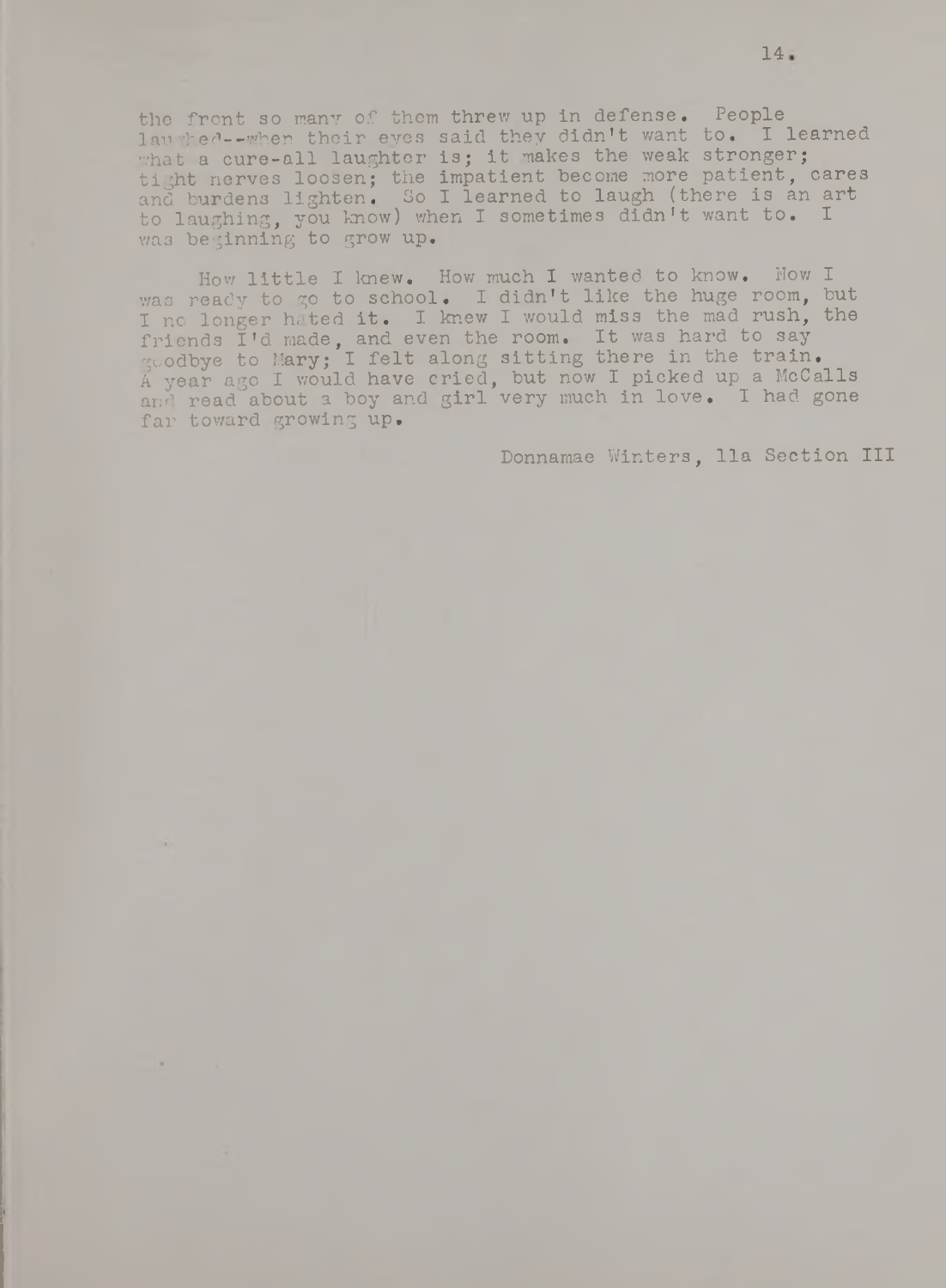the front so many of them threw up in defense. People laughed--when their eyes said they didn't want to. I learned what a cure-all laughter is; it makes the weak stronger; tight nerves loosen; the impatient become more patient, cares and burdens lighten. So I learned to laugh (there is an art to laughing, you know) when I sometimes didn't want to. I wa3 beginning to grow up.

How little I knew. How much I wanted to know. Now I was ready to go to school. I didn't like the huge room, but I no longer hated it. I knew I would miss the mad rush, the friends I'd made, and even the room. It was hard to say goodbye to Mary; I felt along sitting there in the train, A year ago I would have cried, but now I picked up a McCalls and read about a boy and girl very much in love. I had gone far toward growing up.

Donnamae Winters, 11a Section III